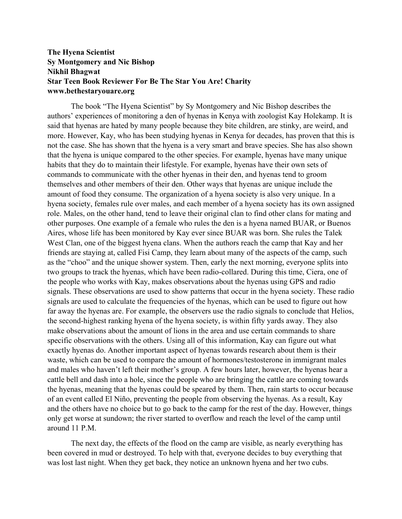## **The Hyena Scientist Sy Montgomery and Nic Bishop Nikhil Bhagwat Star Teen Book Reviewer For Be The Star You Are! Charity www.bethestaryouare.org**

The book "The Hyena Scientist" by Sy Montgomery and Nic Bishop describes the authors' experiences of monitoring a den of hyenas in Kenya with zoologist Kay Holekamp. It is said that hyenas are hated by many people because they bite children, are stinky, are weird, and more. However, Kay, who has been studying hyenas in Kenya for decades, has proven that this is not the case. She has shown that the hyena is a very smart and brave species. She has also shown that the hyena is unique compared to the other species. For example, hyenas have many unique habits that they do to maintain their lifestyle. For example, hyenas have their own sets of commands to communicate with the other hyenas in their den, and hyenas tend to groom themselves and other members of their den. Other ways that hyenas are unique include the amount of food they consume. The organization of a hyena society is also very unique. In a hyena society, females rule over males, and each member of a hyena society has its own assigned role. Males, on the other hand, tend to leave their original clan to find other clans for mating and other purposes. One example of a female who rules the den is a hyena named BUAR, or Buenos Aires, whose life has been monitored by Kay ever since BUAR was born. She rules the Talek West Clan, one of the biggest hyena clans. When the authors reach the camp that Kay and her friends are staying at, called Fisi Camp, they learn about many of the aspects of the camp, such as the "choo" and the unique shower system. Then, early the next morning, everyone splits into two groups to track the hyenas, which have been radio-collared. During this time, Ciera, one of the people who works with Kay, makes observations about the hyenas using GPS and radio signals. These observations are used to show patterns that occur in the hyena society. These radio signals are used to calculate the frequencies of the hyenas, which can be used to figure out how far away the hyenas are. For example, the observers use the radio signals to conclude that Helios, the second-highest ranking hyena of the hyena society, is within fifty yards away. They also make observations about the amount of lions in the area and use certain commands to share specific observations with the others. Using all of this information, Kay can figure out what exactly hyenas do. Another important aspect of hyenas towards research about them is their waste, which can be used to compare the amount of hormones/testosterone in immigrant males and males who haven't left their mother's group. A few hours later, however, the hyenas hear a cattle bell and dash into a hole, since the people who are bringing the cattle are coming towards the hyenas, meaning that the hyenas could be speared by them. Then, rain starts to occur because of an event called El Niño, preventing the people from observing the hyenas. As a result, Kay and the others have no choice but to go back to the camp for the rest of the day. However, things only get worse at sundown; the river started to overflow and reach the level of the camp until around 11 P.M.

The next day, the effects of the flood on the camp are visible, as nearly everything has been covered in mud or destroyed. To help with that, everyone decides to buy everything that was lost last night. When they get back, they notice an unknown hyena and her two cubs.